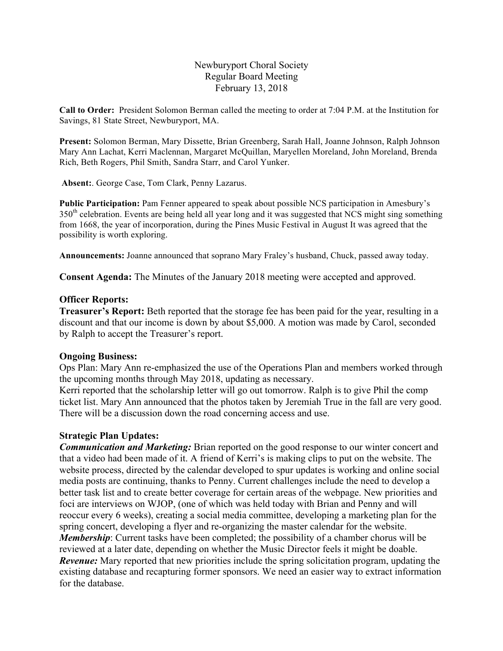## Newburyport Choral Society Regular Board Meeting February 13, 2018

**Call to Order:** President Solomon Berman called the meeting to order at 7:04 P.M. at the Institution for Savings, 81 State Street, Newburyport, MA.

**Present:** Solomon Berman, Mary Dissette, Brian Greenberg, Sarah Hall, Joanne Johnson, Ralph Johnson Mary Ann Lachat, Kerri Maclennan, Margaret McQuillan, Maryellen Moreland, John Moreland, Brenda Rich, Beth Rogers, Phil Smith, Sandra Starr, and Carol Yunker.

**Absent:**. George Case, Tom Clark, Penny Lazarus.

**Public Participation:** Pam Fenner appeared to speak about possible NCS participation in Amesbury's 350<sup>th</sup> celebration. Events are being held all year long and it was suggested that NCS might sing something from 1668, the year of incorporation, during the Pines Music Festival in August It was agreed that the possibility is worth exploring.

**Announcements:** Joanne announced that soprano Mary Fraley's husband, Chuck, passed away today.

**Consent Agenda:** The Minutes of the January 2018 meeting were accepted and approved.

#### **Officer Reports:**

**Treasurer's Report:** Beth reported that the storage fee has been paid for the year, resulting in a discount and that our income is down by about \$5,000. A motion was made by Carol, seconded by Ralph to accept the Treasurer's report.

## **Ongoing Business:**

Ops Plan: Mary Ann re-emphasized the use of the Operations Plan and members worked through the upcoming months through May 2018, updating as necessary.

Kerri reported that the scholarship letter will go out tomorrow. Ralph is to give Phil the comp ticket list. Mary Ann announced that the photos taken by Jeremiah True in the fall are very good. There will be a discussion down the road concerning access and use.

## **Strategic Plan Updates:**

*Communication and Marketing:* Brian reported on the good response to our winter concert and that a video had been made of it. A friend of Kerri's is making clips to put on the website. The website process, directed by the calendar developed to spur updates is working and online social media posts are continuing, thanks to Penny. Current challenges include the need to develop a better task list and to create better coverage for certain areas of the webpage. New priorities and foci are interviews on WJOP, (one of which was held today with Brian and Penny and will reoccur every 6 weeks), creating a social media committee, developing a marketing plan for the spring concert, developing a flyer and re-organizing the master calendar for the website. *Membership*: Current tasks have been completed; the possibility of a chamber chorus will be reviewed at a later date, depending on whether the Music Director feels it might be doable. *Revenue:* Mary reported that new priorities include the spring solicitation program, updating the existing database and recapturing former sponsors. We need an easier way to extract information for the database.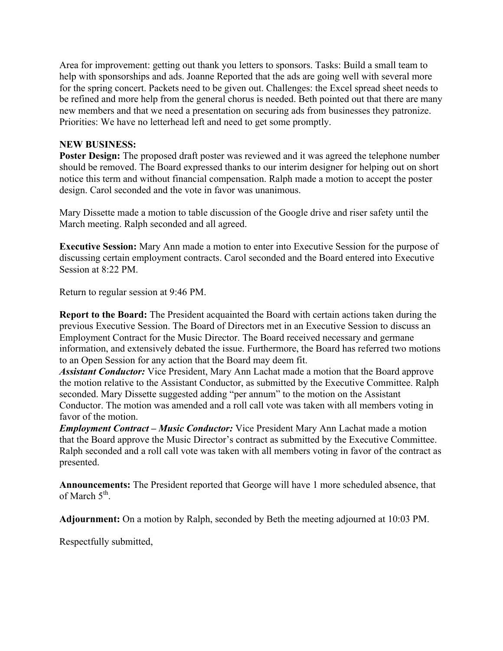Area for improvement: getting out thank you letters to sponsors. Tasks: Build a small team to help with sponsorships and ads. Joanne Reported that the ads are going well with several more for the spring concert. Packets need to be given out. Challenges: the Excel spread sheet needs to be refined and more help from the general chorus is needed. Beth pointed out that there are many new members and that we need a presentation on securing ads from businesses they patronize. Priorities: We have no letterhead left and need to get some promptly.

# **NEW BUSINESS:**

**Poster Design:** The proposed draft poster was reviewed and it was agreed the telephone number should be removed. The Board expressed thanks to our interim designer for helping out on short notice this term and without financial compensation. Ralph made a motion to accept the poster design. Carol seconded and the vote in favor was unanimous.

Mary Dissette made a motion to table discussion of the Google drive and riser safety until the March meeting. Ralph seconded and all agreed.

**Executive Session:** Mary Ann made a motion to enter into Executive Session for the purpose of discussing certain employment contracts. Carol seconded and the Board entered into Executive Session at 8:22 PM.

Return to regular session at 9:46 PM.

**Report to the Board:** The President acquainted the Board with certain actions taken during the previous Executive Session. The Board of Directors met in an Executive Session to discuss an Employment Contract for the Music Director. The Board received necessary and germane information, and extensively debated the issue. Furthermore, the Board has referred two motions to an Open Session for any action that the Board may deem fit.

*Assistant Conductor:* Vice President, Mary Ann Lachat made a motion that the Board approve the motion relative to the Assistant Conductor, as submitted by the Executive Committee. Ralph seconded. Mary Dissette suggested adding "per annum" to the motion on the Assistant Conductor. The motion was amended and a roll call vote was taken with all members voting in favor of the motion.

*Employment Contract – Music Conductor:* Vice President Mary Ann Lachat made a motion that the Board approve the Music Director's contract as submitted by the Executive Committee. Ralph seconded and a roll call vote was taken with all members voting in favor of the contract as presented.

**Announcements:** The President reported that George will have 1 more scheduled absence, that of March  $5<sup>th</sup>$ .

**Adjournment:** On a motion by Ralph, seconded by Beth the meeting adjourned at 10:03 PM.

Respectfully submitted,